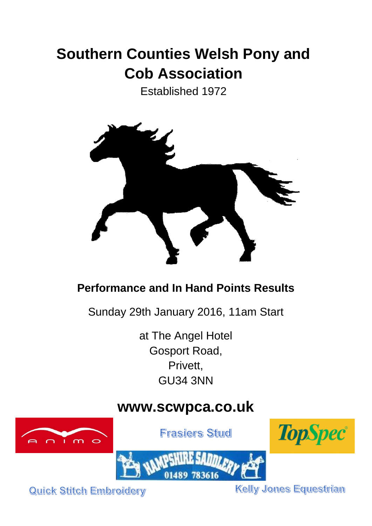# **Southern Counties Welsh Pony and Cob Association**

Established 1972



# **Performance and In Hand Points Results**

Sunday 29th January 2016, 11am Start

at The Angel Hotel Gosport Road, Privett, GU34 3NN

# **www.scwpca.co.uk**



**Frasiers Stud** 





Quick Stitch Embroidery

**Kelly Jones Equestrian**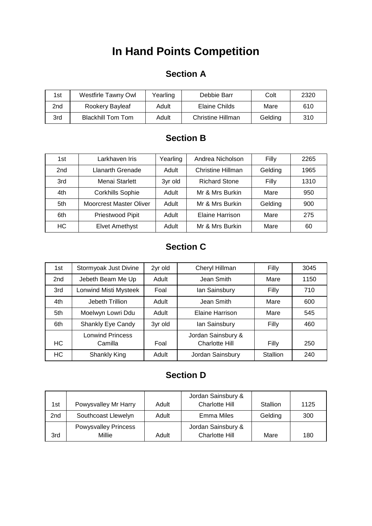# **In Hand Points Competition**

#### **Section A**

| 1st | Westfirle Tawny Owl      | Yearling | Debbie Barr       | Colt    | 2320 |
|-----|--------------------------|----------|-------------------|---------|------|
| 2nd | Rookery Bayleaf          | Adult    | Elaine Childs     | Mare    | 610  |
| 3rd | <b>Blackhill Tom Tom</b> | Adult    | Christine Hillman | Gelding | 310  |

## **Section B**

| 1st             | Larkhaven Iris                 | Yearling | Andrea Nicholson     | Filly   | 2265 |
|-----------------|--------------------------------|----------|----------------------|---------|------|
| 2 <sub>nd</sub> | <b>Llanarth Grenade</b>        | Adult    | Christine Hillman    | Gelding | 1965 |
| 3rd             | Menai Starlett                 |          | <b>Richard Stone</b> | Filly   | 1310 |
| 4th             | <b>Corkhills Sophie</b>        |          | Mr & Mrs Burkin      | Mare    | 950  |
| 5th             | <b>Moorcrest Master Oliver</b> | Adult    | Mr & Mrs Burkin      | Gelding | 900  |
| 6th             | Priestwood Pipit               | Adult    | Elaine Harrison      | Mare    | 275  |
| НC              | <b>Elvet Amethyst</b>          |          | Mr & Mrs Burkin      | Mare    | 60   |

## **Section C**

| 1st | Stormyoak Just Divine   | 2yr old | Cheryl Hillman        | Filly    | 3045 |
|-----|-------------------------|---------|-----------------------|----------|------|
| 2nd | Jebeth Beam Me Up       | Adult   | Jean Smith            | Mare     | 1150 |
| 3rd | Lonwind Misti Mysteek   | Foal    | lan Sainsbury         | Filly    | 710  |
| 4th | Jebeth Trillion         | Adult   | Jean Smith            | Mare     | 600  |
| 5th | Moelwyn Lowri Ddu       | Adult   | Elaine Harrison       | Mare     | 545  |
| 6th | Shankly Eye Candy       | 3yr old | lan Sainsbury         | Filly    | 460  |
|     | <b>Lonwind Princess</b> |         | Jordan Sainsbury &    |          |      |
| HC. | Camilla                 | Foal    | <b>Charlotte Hill</b> | Filly    | 250  |
| HC. | Shankly King            | Adult   | Jordan Sainsbury      | Stallion | 240  |

## **Section D**

| 1st | Powysvalley Mr Harry        | Adult | Jordan Sainsbury &<br>Charlotte Hill | Stallion | 1125 |
|-----|-----------------------------|-------|--------------------------------------|----------|------|
| 2nd | Southcoast Llewelyn         | Adult | Emma Miles                           | Gelding  | 300  |
|     | <b>Powysvalley Princess</b> |       | Jordan Sainsbury &                   |          |      |
| 3rd | Millie                      | Adult | Charlotte Hill                       | Mare     | 180  |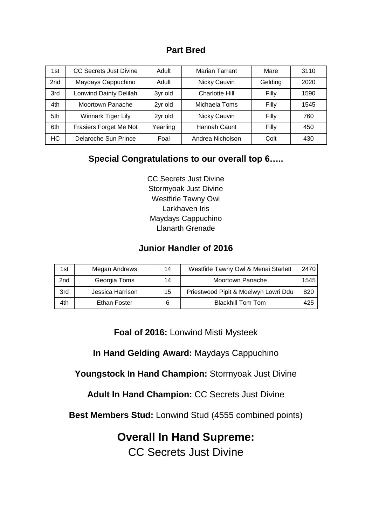#### **Part Bred**

| 1st             | <b>CC Secrets Just Divine</b> | Adult    | Marian Tarrant        | Mare    | 3110 |
|-----------------|-------------------------------|----------|-----------------------|---------|------|
| 2 <sub>nd</sub> | Maydays Cappuchino            | Adult    | Nicky Cauvin          | Gelding | 2020 |
| 3rd             | <b>Lonwind Dainty Delilah</b> | 3yr old  | <b>Charlotte Hill</b> | Filly   | 1590 |
| 4th             | Moortown Panache              | 2yr old  | Michaela Toms         | Filly   | 1545 |
| 5th             | Winnark Tiger Lily            | 2yr old  | Nicky Cauvin          | Filly   | 760  |
| 6th             | Frasiers Forget Me Not        | Yearling | Hannah Caunt          | Filly   | 450  |
| <b>HC</b>       | Delaroche Sun Prince          | Foal     | Andrea Nicholson      | Colt    | 430  |

#### **Special Congratulations to our overall top 6…..**

CC Secrets Just Divine Stormyoak Just Divine Westfirle Tawny Owl Larkhaven Iris Maydays Cappuchino Llanarth Grenade

#### **Junior Handler of 2016**

| 1st | Megan Andrews    | 14 | Westfirle Tawny Owl & Menai Starlett | 2470 |
|-----|------------------|----|--------------------------------------|------|
| 2nd | Georgia Toms     | 14 | Moortown Panache                     | 1545 |
| 3rd | Jessica Harrison | 15 | Priestwood Pipit & Moelwyn Lowri Ddu | 820  |
| 4th | Ethan Foster     |    | <b>Blackhill Tom Tom</b>             | 425  |

**Foal of 2016:** Lonwind Misti Mysteek

**In Hand Gelding Award:** Maydays Cappuchino

**Youngstock In Hand Champion:** Stormyoak Just Divine

**Adult In Hand Champion:** CC Secrets Just Divine

**Best Members Stud:** Lonwind Stud (4555 combined points)

# **Overall In Hand Supreme:**

CC Secrets Just Divine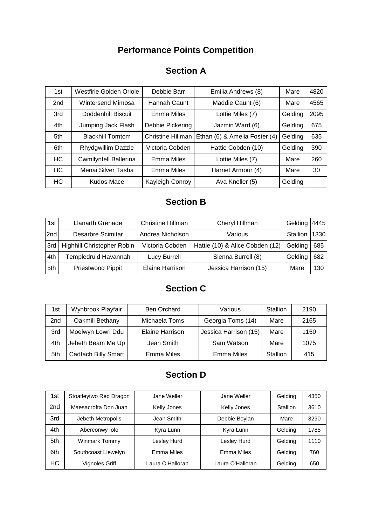## **Performance Points Competition**

### **Section A**

| 1st             | Westfirle Golden Oriole      | Debbie Barr                      | Emilia Andrews (8)            | Mare    | 4820 |
|-----------------|------------------------------|----------------------------------|-------------------------------|---------|------|
| 2 <sub>nd</sub> | Wintersend Mimosa            | Maddie Caunt (6)<br>Hannah Caunt |                               | Mare    | 4565 |
| 3rd             | Doddenhill Biscuit           | Emma Miles                       | Lottie Miles (7)              | Gelding | 2095 |
| 4th             | Jumping Jack Flash           | Debbie Pickering                 | Jazmin Ward (6)               | Gelding | 675  |
| 5th             | <b>Blackhill Tomtom</b>      | <b>Christine Hillman</b>         | Ethan (6) & Amelia Foster (4) | Gelding | 635  |
| 6th             | Rhydgwillim Dazzle           | Victoria Cobden                  | Hattie Cobden (10)            | Gelding | 390  |
| <b>HC</b>       | <b>Cwmllynfell Ballerina</b> | Emma Miles                       | Lottie Miles (7)              | Mare    | 260  |
| HC              | Menai Silver Tasha           | Emma Miles                       | Harriet Armour (4)            | Mare    | 30   |
| HC              | Kudos Mace                   | Kayleigh Conroy                  | Ava Kneller (5)               | Gelding |      |

#### **Section B**

| 1st | Llanarth Grenade           | <b>Christine Hillman</b> | Cheryl Hillman                  | Gelding  | 4445 |
|-----|----------------------------|--------------------------|---------------------------------|----------|------|
| 2nd | Desarbre Scimitar          | Andrea Nicholson         | Various                         | Stallion | 1330 |
| 3rd | Highhill Christopher Robin | Victoria Cobden          | Hattie (10) & Alice Cobden (12) | Gelding  | 685  |
| 4th | Templedruid Havannah       | Lucy Burrell             | Sienna Burrell (8)              | Gelding  | 682  |
| 5th | Priestwood Pippit          | Elaine Harrison          | Jessica Harrison (15)           | Mare     | 130  |

### **Section C**

| 1st | Wynbrook Playfair          | <b>Ben Orchard</b>     | Various               | <b>Stallion</b> | 2190 |
|-----|----------------------------|------------------------|-----------------------|-----------------|------|
| 2nd | Oakmill Bethany            | Michaela Toms          | Georgia Toms (14)     | Mare            | 2165 |
| 3rd | Moelwyn Lowri Ddu          | <b>Elaine Harrison</b> | Jessica Harrison (15) | Mare            | 1150 |
| 4th | Jebeth Beam Me Up          | Jean Smith             | Sam Watson            | Mare            | 1075 |
| 5th | <b>Cadfach Billy Smart</b> | <b>Emma Miles</b>      | <b>Emma Miles</b>     | Stallion        | 415  |

## **Section D**

| 1st             | Stoatleytwo Red Dragon | Jane Weller      | Jane Weller      | Gelding  | 4350 |
|-----------------|------------------------|------------------|------------------|----------|------|
| 2 <sub>nd</sub> | Maesacrofta Don Juan   | Kelly Jones      | Kelly Jones      | Stallion | 3610 |
| 3rd             | Jebeth Metropolis      | Jean Smith       | Debbie Boylan    | Mare     | 3290 |
| 4th             | Aberconwy Iolo         | Kyra Lunn        | Kyra Lunn        | Gelding  | 1785 |
| 5th             | Winmark Tommy          | Lesley Hurd      | Lesley Hurd      | Gelding  | 1110 |
| 6th             | Southcoast Llewelyn    | Emma Miles       | Emma Miles       | Gelding  | 760  |
| HC              | <b>Vignoles Griff</b>  | Laura O'Halloran | Laura O'Halloran | Gelding  | 650  |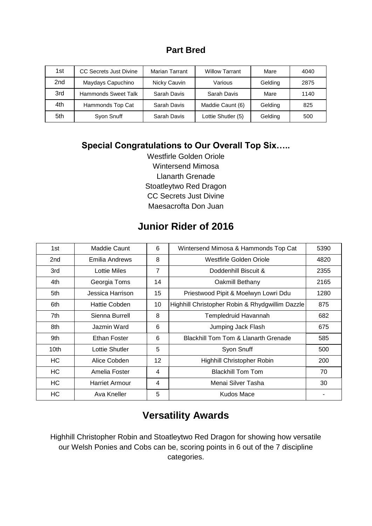#### **Part Bred**

| 1st             | CC Secrets Just Divine | <b>Marian Tarrant</b> | <b>Willow Tarrant</b> | Mare    | 4040 |
|-----------------|------------------------|-----------------------|-----------------------|---------|------|
| 2 <sub>nd</sub> | Maydays Capuchino      | Nicky Cauvin          | Various               | Gelding | 2875 |
| 3rd             | Hammonds Sweet Talk    | Sarah Davis           | Sarah Davis           | Mare    | 1140 |
| 4th             | Hammonds Top Cat       | Sarah Davis           | Maddie Caunt (6)      | Gelding | 825  |
| 5th             | Syon Snuff             | Sarah Davis           | Lottie Shutler (5)    | Gelding | 500  |

#### **Special Congratulations to Our Overall Top Six…..**

Westfirle Golden Oriole Wintersend Mimosa Llanarth Grenade Stoatleytwo Red Dragon CC Secrets Just Divine Maesacrofta Don Juan

### **Junior Rider of 2016**

| 1st       | Maddie Caunt          | 6                 | Wintersend Mimosa & Hammonds Top Cat            | 5390 |
|-----------|-----------------------|-------------------|-------------------------------------------------|------|
| 2nd       | Emilia Andrews        | 8                 | Westfirle Golden Oriole                         | 4820 |
| 3rd       | <b>Lottie Miles</b>   | $\overline{7}$    | Doddenhill Biscuit &                            | 2355 |
| 4th       | Georgia Toms          | 14                | Oakmill Bethany                                 | 2165 |
| 5th       | Jessica Harrison      | 15                | Priestwood Pipit & Moelwyn Lowri Ddu            | 1280 |
| 6th       | Hattie Cobden         | 10                | Highhill Christopher Robin & Rhydgwillim Dazzle | 875  |
| 7th       | Sienna Burrell        | 8                 | Templedruid Havannah                            | 682  |
| 8th       | Jazmin Ward           | 6                 | Jumping Jack Flash                              | 675  |
| 9th       | Ethan Foster          | 6                 | <b>Blackhill Tom Tom &amp; Llanarth Grenade</b> | 585  |
| 10th      | Lottie Shutler        | 5                 | Syon Snuff                                      | 500  |
| HC.       | Alice Cobden          | $12 \overline{ }$ | Highhill Christopher Robin                      | 200  |
| HC        | Amelia Foster         | 4                 | <b>Blackhill Tom Tom</b>                        | 70   |
| HC.       | <b>Harriet Armour</b> | 4                 | Menai Silver Tasha                              | 30   |
| <b>HC</b> | Ava Kneller           | 5                 | Kudos Mace                                      |      |

## **Versatility Awards**

Highhill Christopher Robin and Stoatleytwo Red Dragon for showing how versatile our Welsh Ponies and Cobs can be, scoring points in 6 out of the 7 discipline categories.